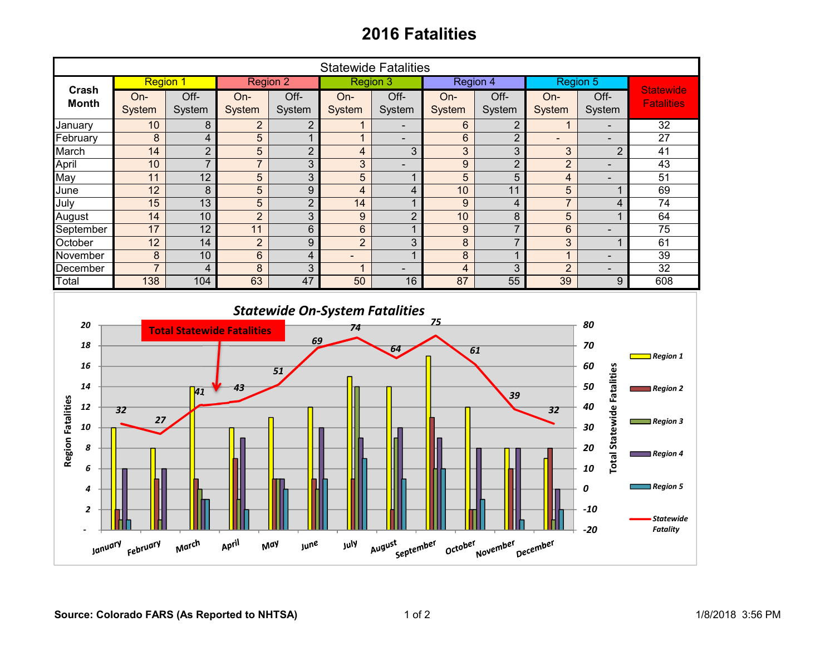## **2016 Fatalities**